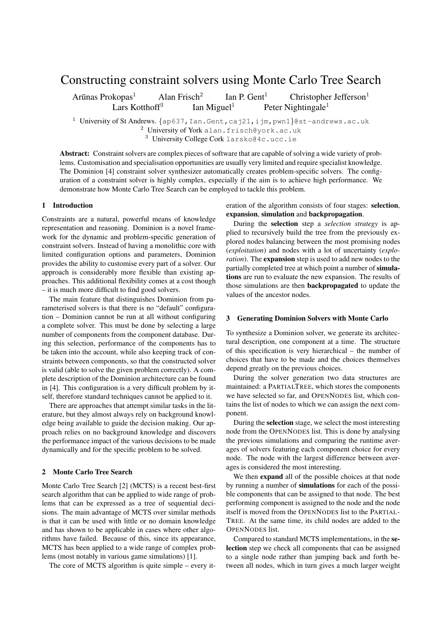# Constructing constraint solvers using Monte Carlo Tree Search

Arūnas Prokopas<sup>1</sup> Alan Frisch<sup>2</sup> Ian P. Gent<sup>1</sup> Christopher Jefferson<sup>1</sup> Lars Kotthoff<sup>3</sup> Ian Miguel<sup>1</sup> Peter Nightingale<sup>1</sup>

<sup>1</sup> University of St Andrews. *{*ap637,Ian.Gent,caj21,ijm,pwn1*}*@st-andrews.ac.uk <sup>2</sup> University of York alan.frisch@york.ac.uk

<sup>3</sup> University College Cork larsko@4c.ucc.ie

Abstract: Constraint solvers are complex pieces of software that are capable of solving a wide variety of problems. Customisation and specialisation opportunities are usually very limited and require specialist knowledge. The Dominion [4] constraint solver synthesizer automatically creates problem-specific solvers. The configuration of a constraint solver is highly complex, especially if the aim is to achieve high performance. We demonstrate how Monte Carlo Tree Search can be employed to tackle this problem.

## 1 Introduction

Constraints are a natural, powerful means of knowledge representation and reasoning. Dominion is a novel framework for the dynamic and problem-specific generation of constraint solvers. Instead of having a monolithic core with limited configuration options and parameters, Dominion provides the ability to customise every part of a solver. Our approach is considerably more flexible than existing approaches. This additional flexibility comes at a cost though – it is much more difficult to find good solvers.

The main feature that distinguishes Dominion from parameterised solvers is that there is no "default" configuration – Dominion cannot be run at all without configuring a complete solver. This must be done by selecting a large number of components from the component database. During this selection, performance of the components has to be taken into the account, while also keeping track of constraints between components, so that the constructed solver is valid (able to solve the given problem correctly). A complete description of the Dominion architecture can be found in [4]. This configuration is a very difficult problem by itself, therefore standard techniques cannot be applied to it.

There are approaches that attempt similar tasks in the literature, but they almost always rely on background knowledge being available to guide the decision making. Our approach relies on no background knowledge and discovers the performance impact of the various decisions to be made dynamically and for the specific problem to be solved.

#### 2 Monte Carlo Tree Search

Monte Carlo Tree Search [2] (MCTS) is a recent best-first search algorithm that can be applied to wide range of problems that can be expressed as a tree of sequential decisions. The main advantage of MCTS over similar methods is that it can be used with little or no domain knowledge and has shown to be applicable in cases where other algorithms have failed. Because of this, since its appearance, MCTS has been applied to a wide range of complex problems (most notably in various game simulations) [1].

The core of MCTS algorithm is quite simple – every it-

eration of the algorithm consists of four stages: selection, expansion, simulation and backpropagation.

During the selection step a *selection strategy* is applied to recursively build the tree from the previously explored nodes balancing between the most promising nodes (*exploitation*) and nodes with a lot of uncertainty (*exploration*). The **expansion** step is used to add new nodes to the partially completed tree at which point a number of simulations are run to evaluate the new expansion. The results of those simulations are then backpropagated to update the values of the ancestor nodes.

#### 3 Generating Dominion Solvers with Monte Carlo

To synthesize a Dominion solver, we generate its architectural description, one component at a time. The structure of this specification is very hierarchical – the number of choices that have to be made and the choices themselves depend greatly on the previous choices.

During the solver generation two data structures are maintained: a PARTIALTREE, which stores the components we have selected so far, and OPENNODES list, which contains the list of nodes to which we can assign the next component.

During the selection stage, we select the most interesting node from the OPENNODES list. This is done by analysing the previous simulations and comparing the runtime averages of solvers featuring each component choice for every node. The node with the largest difference between averages is considered the most interesting.

We then expand all of the possible choices at that node by running a number of simulations for each of the possible components that can be assigned to that node. The best performing component is assigned to the node and the node itself is moved from the OPENNODES list to the PARTIAL-TREE. At the same time, its child nodes are added to the OPENNODES list.

Compared to standard MCTS implementations, in the selection step we check all components that can be assigned to a single node rather than jumping back and forth between all nodes, which in turn gives a much larger weight